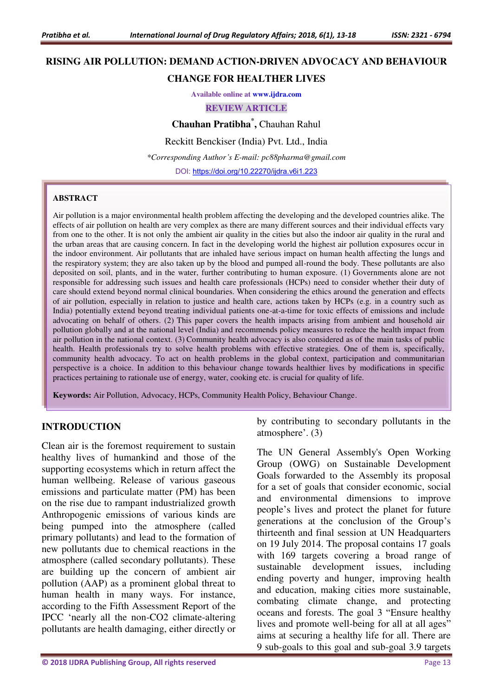# **RISING AIR POLLUTION: DEMAND ACTION-DRIVEN ADVOCACY AND BEHAVIOUR CHANGE FOR HEALTHER LIVES**

# **Available online at [www.ijdra.com](http://www.ijdra.com/)**

**REVIEW ARTICLE** 

**Chauhan Pratibha\* ,** Chauhan Rahul

Reckitt Benckiser (India) Pvt. Ltd., India

*\*Corresponding Author's E-mail: pc88pharma@gmail.com* 

DOI: [https://doi.org/10.22270/ijdra.v6i1.223](https://doi.org/10.22270/ijdra.v6i1.214)

#### **ABSTRACT**

Air pollution is a major environmental health problem affecting the developing and the developed countries alike. The effects of air pollution on health are very complex as there are many different sources and their individual effects vary from one to the other. It is not only the ambient air quality in the cities but also the indoor air quality in the rural and the urban areas that are causing concern. In fact in the developing world the highest air pollution exposures occur in the indoor environment. Air pollutants that are inhaled have serious impact on human health affecting the lungs and the respiratory system; they are also taken up by the blood and pumped all-round the body. These pollutants are also deposited on soil, plants, and in the water, further contributing to human exposure. (1) Governments alone are not responsible for addressing such issues and health care professionals (HCPs) need to consider whether their duty of care should extend beyond normal clinical boundaries. When considering the ethics around the generation and effects of air pollution, especially in relation to justice and health care, actions taken by HCPs (e.g. in a country such as India) potentially extend beyond treating individual patients one-at-a-time for toxic effects of emissions and include advocating on behalf of others. (2) This paper covers the health impacts arising from ambient and household air pollution globally and at the national level (India) and recommends policy measures to reduce the health impact from air pollution in the national context. (3) Community health advocacy is also considered as of the main tasks of public health. Health professionals try to solve health problems with effective strategies. One of them is, specifically, community health advocacy. To act on health problems in the global context, participation and communitarian perspective is a choice. In addition to this behaviour change towards healthier lives by modifications in specific practices pertaining to rationale use of energy, water, cooking etc. is crucial for quality of life.

**Keywords:** Air Pollution, Advocacy, HCPs, Community Health Policy, Behaviour Change.

#### **INTRODUCTION**

Clean air is the foremost requirement to sustain healthy lives of humankind and those of the supporting ecosystems which in return affect the human wellbeing. Release of various gaseous emissions and particulate matter (PM) has been on the rise due to rampant industrialized growth Anthropogenic emissions of various kinds are being pumped into the atmosphere (called primary pollutants) and lead to the formation of new pollutants due to chemical reactions in the atmosphere (called secondary pollutants). These are building up the concern of ambient air pollution (AAP) as a prominent global threat to human health in many ways. For instance, according to the Fifth Assessment Report of the IPCC 'nearly all the non-CO2 climate-altering pollutants are health damaging, either directly or

by contributing to secondary pollutants in the atmosphere'. (3)

The UN General Assembly's Open Working Group (OWG) on Sustainable Development Goals forwarded to the Assembly its proposal for a set of goals that consider economic, social and environmental dimensions to improve people's lives and protect the planet for future generations at the conclusion of the Group's thirteenth and final session at UN Headquarters on 19 July 2014. The proposal contains 17 goals with 169 targets covering a broad range of sustainable development issues, including ending poverty and hunger, improving health and education, making cities more sustainable, combating climate change, and protecting oceans and forests. The goal 3 "Ensure healthy lives and promote well-being for all at all ages" aims at securing a healthy life for all. There are 9 sub-goals to this goal and sub-goal 3.9 targets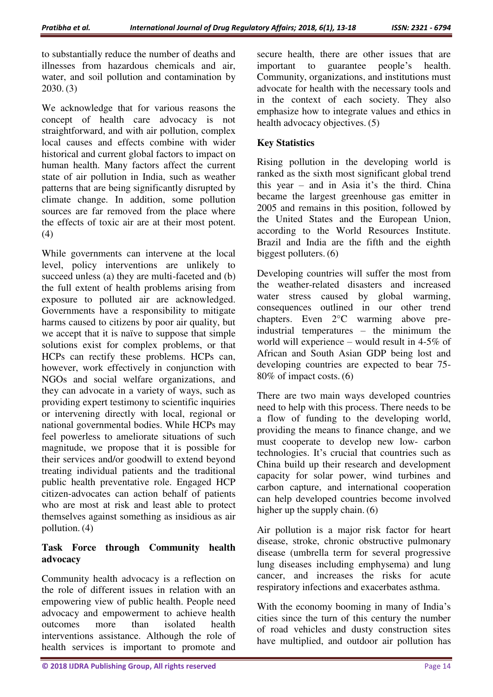to substantially reduce the number of deaths and illnesses from hazardous chemicals and air, water, and soil pollution and contamination by 2030. (3)

We acknowledge that for various reasons the concept of health care advocacy is not straightforward, and with air pollution, complex local causes and effects combine with wider historical and current global factors to impact on human health. Many factors affect the current state of air pollution in India, such as weather patterns that are being significantly disrupted by climate change. In addition, some pollution sources are far removed from the place where the effects of toxic air are at their most potent. (4)

While governments can intervene at the local level, policy interventions are unlikely to succeed unless (a) they are multi-faceted and (b) the full extent of health problems arising from exposure to polluted air are acknowledged. Governments have a responsibility to mitigate harms caused to citizens by poor air quality, but we accept that it is naïve to suppose that simple solutions exist for complex problems, or that HCPs can rectify these problems. HCPs can, however, work effectively in conjunction with NGOs and social welfare organizations, and they can advocate in a variety of ways, such as providing expert testimony to scientific inquiries or intervening directly with local, regional or national governmental bodies. While HCPs may feel powerless to ameliorate situations of such magnitude, we propose that it is possible for their services and/or goodwill to extend beyond treating individual patients and the traditional public health preventative role. Engaged HCP citizen-advocates can action behalf of patients who are most at risk and least able to protect themselves against something as insidious as air pollution. (4)

# **Task Force through Community health advocacy**

Community health advocacy is a reflection on the role of different issues in relation with an empowering view of public health. People need advocacy and empowerment to achieve health outcomes more than isolated health interventions assistance. Although the role of health services is important to promote and secure health, there are other issues that are important to guarantee people's health. Community, organizations, and institutions must advocate for health with the necessary tools and in the context of each society. They also emphasize how to integrate values and ethics in health advocacy objectives. (5)

# **Key Statistics**

Rising pollution in the developing world is ranked as the sixth most significant global trend this year – and in Asia it's the third. China became the largest greenhouse gas emitter in 2005 and remains in this position, followed by the United States and the European Union, according to the World Resources Institute. Brazil and India are the fifth and the eighth biggest polluters. (6)

Developing countries will suffer the most from the weather-related disasters and increased water stress caused by global warming, consequences outlined in our other trend chapters. Even 2°C warming above preindustrial temperatures – the minimum the world will experience – would result in 4-5% of African and South Asian GDP being lost and developing countries are expected to bear 75- 80% of impact costs. (6)

There are two main ways developed countries need to help with this process. There needs to be a flow of funding to the developing world, providing the means to finance change, and we must cooperate to develop new low- carbon technologies. It's crucial that countries such as China build up their research and development capacity for solar power, wind turbines and carbon capture, and international cooperation can help developed countries become involved higher up the supply chain. (6)

Air pollution is a major risk factor for heart disease, stroke, chronic obstructive pulmonary disease (umbrella term for several progressive lung diseases including emphysema) and lung cancer, and increases the risks for acute respiratory infections and exacerbates asthma.

With the economy booming in many of India's cities since the turn of this century the number of road vehicles and dusty construction sites have multiplied, and outdoor air pollution has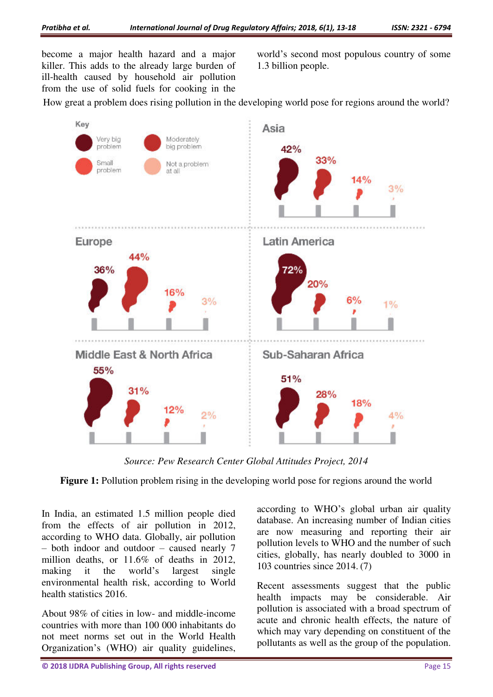become a major health hazard and a major killer. This adds to the already large burden of ill-health caused by household air pollution from the use of solid fuels for cooking in the

world's second most populous country of some 1.3 billion people.

How great a problem does rising pollution in the developing world pose for regions around the world?



*Source: Pew Research Center Global Attitudes Project, 2014* 

**Figure 1:** Pollution problem rising in the developing world pose for regions around the world

In India, an estimated 1.5 million people died from the effects of air pollution in 2012, according to WHO data. Globally, air pollution – both indoor and outdoor – caused nearly 7 million deaths, or 11.6% of deaths in 2012, making it the world's largest single environmental health risk, according to World health statistics 2016.

About 98% of cities in low- and middle-income countries with more than 100 000 inhabitants do not meet norms set out in the World Health Organization's (WHO) air quality guidelines, according to WHO's global urban air quality database. An increasing number of Indian cities are now measuring and reporting their air pollution levels to WHO and the number of such cities, globally, has nearly doubled to 3000 in 103 countries since 2014. (7)

Recent assessments suggest that the public health impacts may be considerable. Air pollution is associated with a broad spectrum of acute and chronic health effects, the nature of which may vary depending on constituent of the pollutants as well as the group of the population.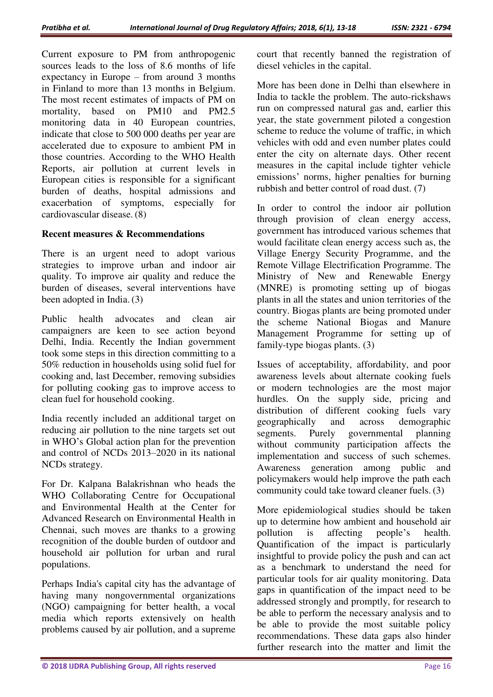Current exposure to PM from anthropogenic sources leads to the loss of 8.6 months of life expectancy in Europe – from around 3 months in Finland to more than 13 months in Belgium. The most recent estimates of impacts of PM on mortality, based on PM10 and PM2.5 monitoring data in 40 European countries, indicate that close to 500 000 deaths per year are accelerated due to exposure to ambient PM in those countries. According to the WHO Health Reports, air pollution at current levels in European cities is responsible for a significant burden of deaths, hospital admissions and exacerbation of symptoms, especially for cardiovascular disease. (8)

#### **Recent measures & Recommendations**

There is an urgent need to adopt various strategies to improve urban and indoor air quality. To improve air quality and reduce the burden of diseases, several interventions have been adopted in India. (3)

Public health advocates and clean air campaigners are keen to see action beyond Delhi, India. Recently the Indian government took some steps in this direction committing to a 50% reduction in households using solid fuel for cooking and, last December, removing subsidies for polluting cooking gas to improve access to clean fuel for household cooking.

India recently included an additional target on reducing air pollution to the nine targets set out in WHO's Global action plan for the prevention and control of NCDs 2013–2020 in its national NCDs strategy.

For Dr. Kalpana Balakrishnan who heads the WHO Collaborating Centre for Occupational and Environmental Health at the Center for Advanced Research on Environmental Health in Chennai, such moves are thanks to a growing recognition of the double burden of outdoor and household air pollution for urban and rural populations.

Perhaps India's capital city has the advantage of having many nongovernmental organizations (NGO) campaigning for better health, a vocal media which reports extensively on health problems caused by air pollution, and a supreme

court that recently banned the registration of diesel vehicles in the capital.

More has been done in Delhi than elsewhere in India to tackle the problem. The auto-rickshaws run on compressed natural gas and, earlier this year, the state government piloted a congestion scheme to reduce the volume of traffic, in which vehicles with odd and even number plates could enter the city on alternate days. Other recent measures in the capital include tighter vehicle emissions' norms, higher penalties for burning rubbish and better control of road dust. (7)

In order to control the indoor air pollution through provision of clean energy access, government has introduced various schemes that would facilitate clean energy access such as, the Village Energy Security Programme, and the Remote Village Electrification Programme. The Ministry of New and Renewable Energy (MNRE) is promoting setting up of biogas plants in all the states and union territories of the country. Biogas plants are being promoted under the scheme National Biogas and Manure Management Programme for setting up of family-type biogas plants. (3)

Issues of acceptability, affordability, and poor awareness levels about alternate cooking fuels or modern technologies are the most major hurdles. On the supply side, pricing and distribution of different cooking fuels vary geographically and across demographic segments. Purely governmental planning without community participation affects the implementation and success of such schemes. Awareness generation among public and policymakers would help improve the path each community could take toward cleaner fuels. (3)

More epidemiological studies should be taken up to determine how ambient and household air pollution is affecting people's health. Quantification of the impact is particularly insightful to provide policy the push and can act as a benchmark to understand the need for particular tools for air quality monitoring. Data gaps in quantification of the impact need to be addressed strongly and promptly, for research to be able to perform the necessary analysis and to be able to provide the most suitable policy recommendations. These data gaps also hinder further research into the matter and limit the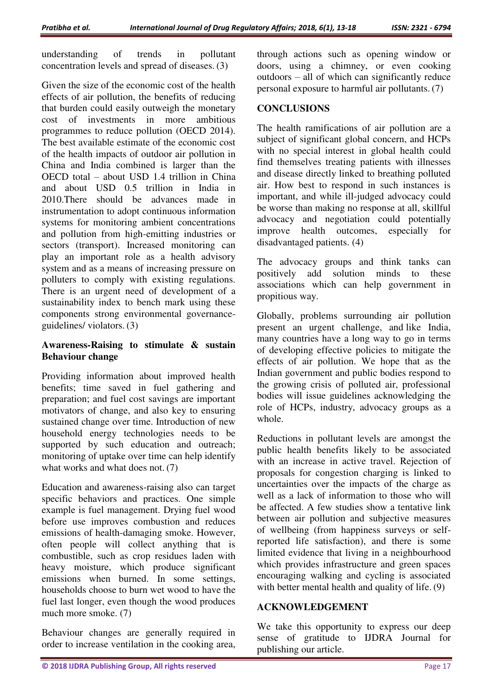understanding of trends in pollutant concentration levels and spread of diseases. (3)

Given the size of the economic cost of the health effects of air pollution, the benefits of reducing that burden could easily outweigh the monetary cost of investments in more ambitious programmes to reduce pollution (OECD 2014). The best available estimate of the economic cost of the health impacts of outdoor air pollution in China and India combined is larger than the OECD total – about USD 1.4 trillion in China and about USD 0.5 trillion in India in 2010.There should be advances made in instrumentation to adopt continuous information systems for monitoring ambient concentrations and pollution from high-emitting industries or sectors (transport). Increased monitoring can play an important role as a health advisory system and as a means of increasing pressure on polluters to comply with existing regulations. There is an urgent need of development of a sustainability index to bench mark using these components strong environmental governanceguidelines/ violators. (3)

# **Awareness-Raising to stimulate & sustain Behaviour change**

Providing information about improved health benefits; time saved in fuel gathering and preparation; and fuel cost savings are important motivators of change, and also key to ensuring sustained change over time. Introduction of new household energy technologies needs to be supported by such education and outreach; monitoring of uptake over time can help identify what works and what does not. (7)

Education and awareness-raising also can target specific behaviors and practices. One simple example is fuel management. Drying fuel wood before use improves combustion and reduces emissions of health-damaging smoke. However, often people will collect anything that is combustible, such as crop residues laden with heavy moisture, which produce significant emissions when burned. In some settings, households choose to burn wet wood to have the fuel last longer, even though the wood produces much more smoke. (7)

Behaviour changes are generally required in order to increase ventilation in the cooking area,

through actions such as opening window or doors, using a chimney, or even cooking outdoors – all of which can significantly reduce personal exposure to harmful air pollutants. (7)

### **CONCLUSIONS**

The health ramifications of air pollution are a subject of significant global concern, and HCPs with no special interest in global health could find themselves treating patients with illnesses and disease directly linked to breathing polluted air. How best to respond in such instances is important, and while ill-judged advocacy could be worse than making no response at all, skillful advocacy and negotiation could potentially improve health outcomes, especially for disadvantaged patients. (4)

The advocacy groups and think tanks can positively add solution minds to these associations which can help government in propitious way.

Globally, problems surrounding air pollution present an urgent challenge, and like India, many countries have a long way to go in terms of developing effective policies to mitigate the effects of air pollution. We hope that as the Indian government and public bodies respond to the growing crisis of polluted air, professional bodies will issue guidelines acknowledging the role of HCPs, industry, advocacy groups as a whole.

Reductions in pollutant levels are amongst the public health benefits likely to be associated with an increase in active travel. Rejection of proposals for congestion charging is linked to uncertainties over the impacts of the charge as well as a lack of information to those who will be affected. A few studies show a tentative link between air pollution and subjective measures of wellbeing (from happiness surveys or selfreported life satisfaction), and there is some limited evidence that living in a neighbourhood which provides infrastructure and green spaces encouraging walking and cycling is associated with better mental health and quality of life. (9)

## **ACKNOWLEDGEMENT**

We take this opportunity to express our deep sense of gratitude to IJDRA Journal for publishing our article.